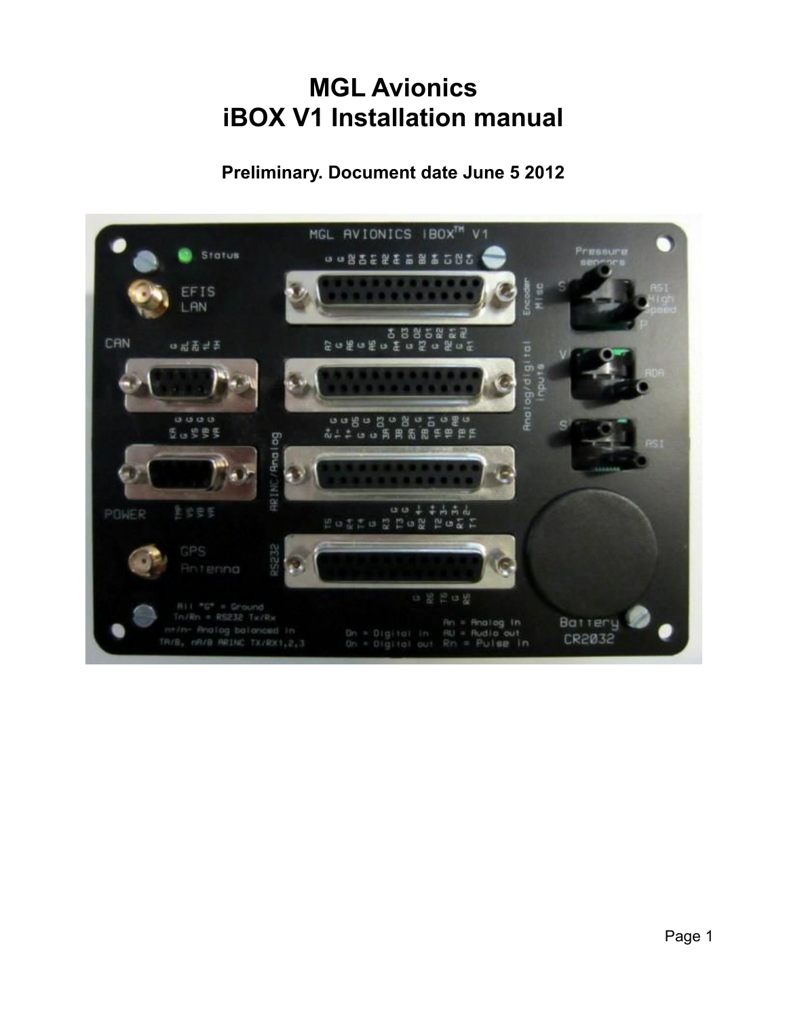# **MGL Avionics iBOX V1 Installation manual**

## **Preliminary. Document date June 5 2012**

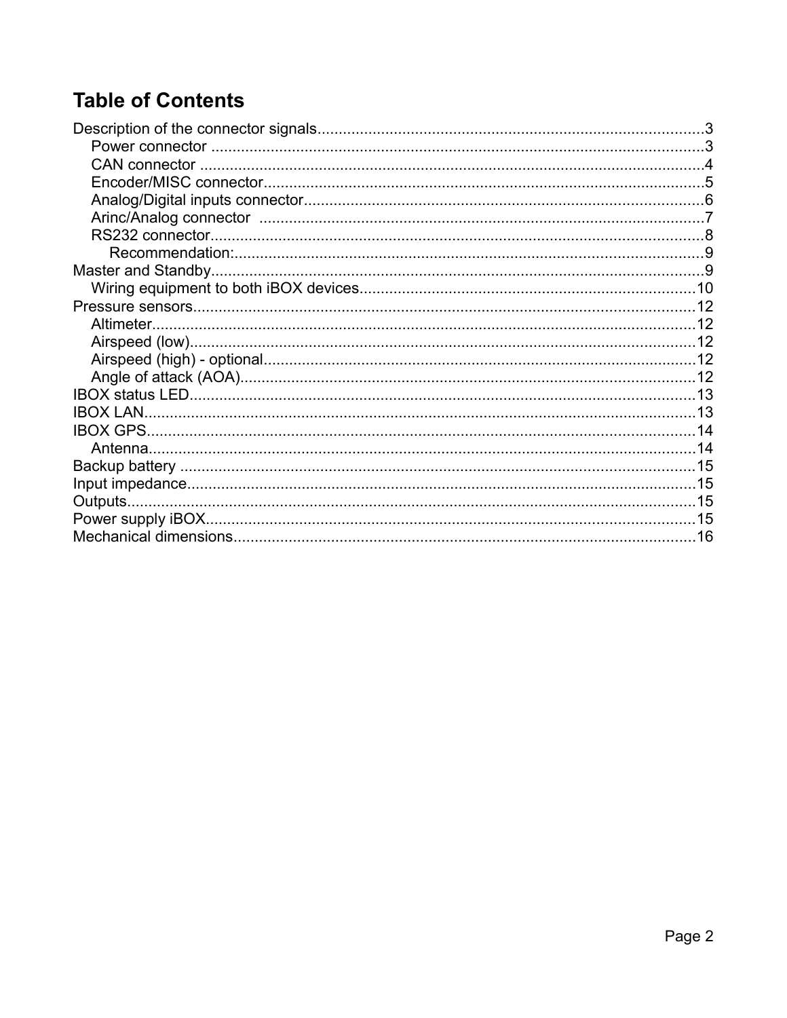# **Table of Contents**

| <b>IBOX LAN</b> |  |
|-----------------|--|
|                 |  |
|                 |  |
|                 |  |
|                 |  |
|                 |  |
|                 |  |
|                 |  |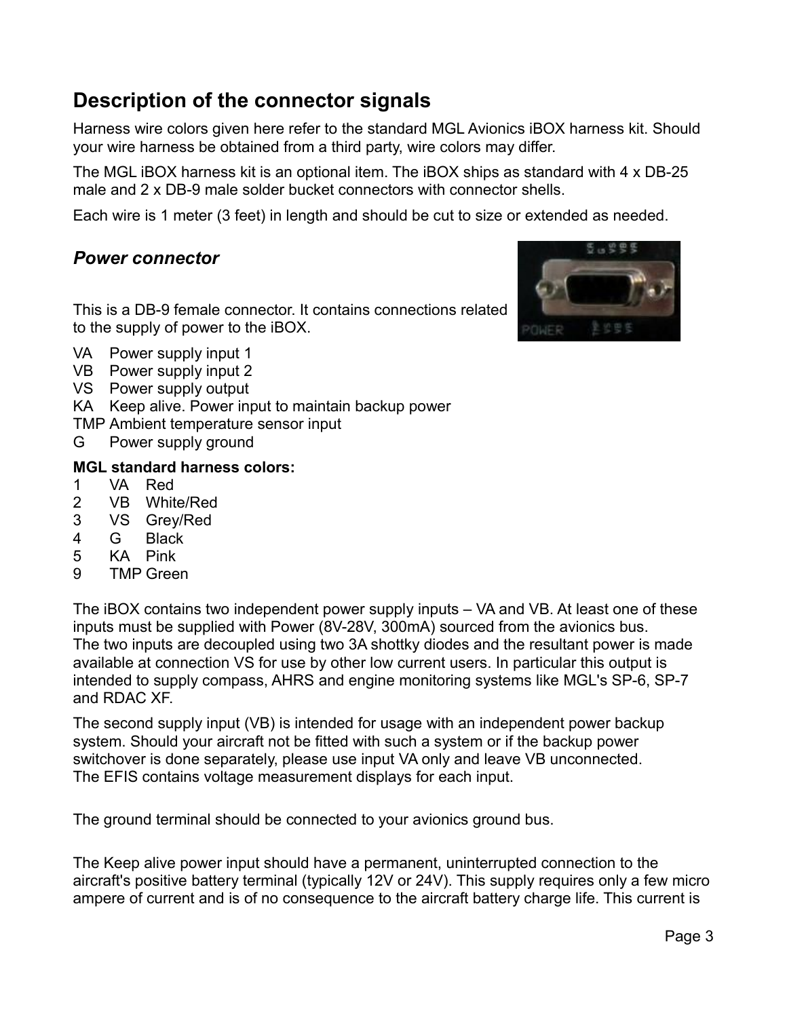# **Description of the connector signals**

Harness wire colors given here refer to the standard MGL Avionics iBOX harness kit. Should your wire harness be obtained from a third party, wire colors may differ.

The MGL iBOX harness kit is an optional item. The iBOX ships as standard with 4 x DB-25 male and 2 x DB-9 male solder bucket connectors with connector shells.

Each wire is 1 meter (3 feet) in length and should be cut to size or extended as needed.

### *Power connector*

This is a DB-9 female connector. It contains connections related to the supply of power to the iBOX.



- VA Power supply input 1
- VB Power supply input 2
- VS Power supply output
- KA Keep alive. Power input to maintain backup power
- TMP Ambient temperature sensor input
- G Power supply ground

#### **MGL standard harness colors:**

- 1 VA Red
- 2 VB White/Red
- 3 VS Grey/Red
- 4 G Black
- 5 KA Pink
- 9 TMP Green

The iBOX contains two independent power supply inputs – VA and VB. At least one of these inputs must be supplied with Power (8V-28V, 300mA) sourced from the avionics bus. The two inputs are decoupled using two 3A shottky diodes and the resultant power is made available at connection VS for use by other low current users. In particular this output is intended to supply compass, AHRS and engine monitoring systems like MGL's SP-6, SP-7 and RDAC XF.

The second supply input (VB) is intended for usage with an independent power backup system. Should your aircraft not be fitted with such a system or if the backup power switchover is done separately, please use input VA only and leave VB unconnected. The EFIS contains voltage measurement displays for each input.

The ground terminal should be connected to your avionics ground bus.

The Keep alive power input should have a permanent, uninterrupted connection to the aircraft's positive battery terminal (typically 12V or 24V). This supply requires only a few micro ampere of current and is of no consequence to the aircraft battery charge life. This current is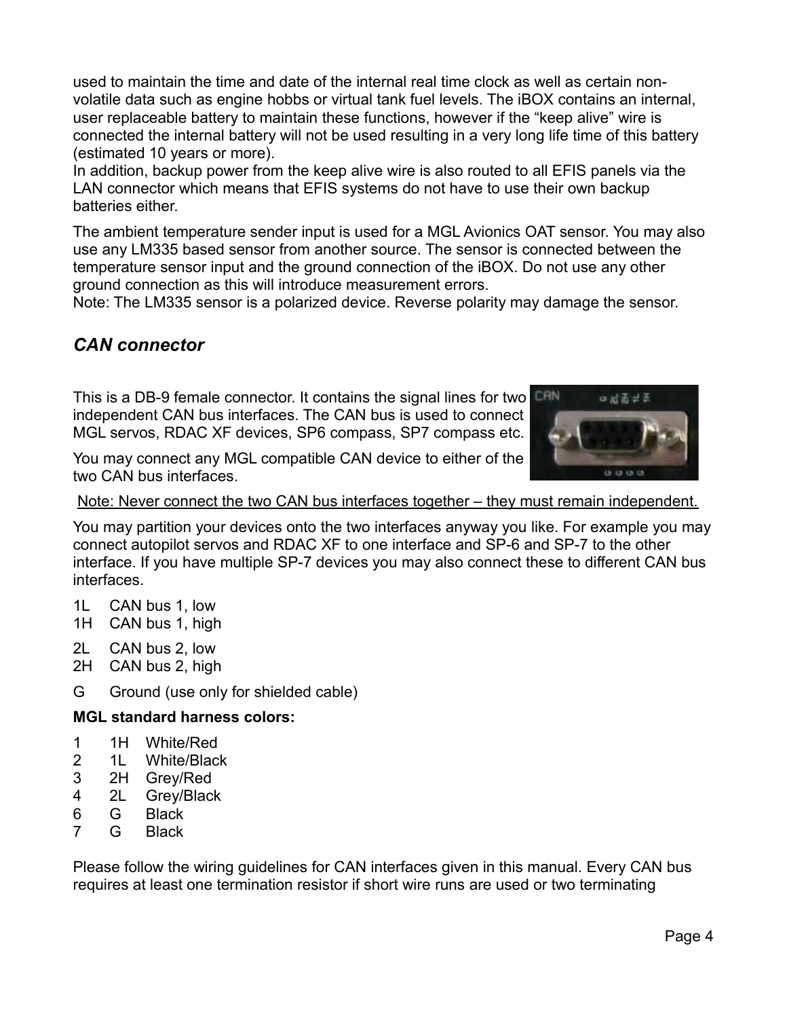used to maintain the time and date of the internal real time clock as well as certain nonvolatile data such as engine hobbs or virtual tank fuel levels. The iBOX contains an internal, user replaceable battery to maintain these functions, however if the "keep alive" wire is connected the internal battery will not be used resulting in a very long life time of this battery (estimated 10 years or more).

In addition, backup power from the keep alive wire is also routed to all EFIS panels via the LAN connector which means that EFIS systems do not have to use their own backup batteries either.

The ambient temperature sender input is used for a MGL Avionics OAT sensor. You may also use any LM335 based sensor from another source. The sensor is connected between the temperature sensor input and the ground connection of the iBOX. Do not use any other ground connection as this will introduce measurement errors.

Note: The LM335 sensor is a polarized device. Reverse polarity may damage the sensor.

### *CAN connector*

This is a DB-9 female connector. It contains the signal lines for two independent CAN bus interfaces. The CAN bus is used to connect MGL servos, RDAC XF devices, SP6 compass, SP7 compass etc.

You may connect any MGL compatible CAN device to either of the two CAN bus interfaces.



Note: Never connect the two CAN bus interfaces together – they must remain independent.

You may partition your devices onto the two interfaces anyway you like. For example you may connect autopilot servos and RDAC XF to one interface and SP-6 and SP-7 to the other interface. If you have multiple SP-7 devices you may also connect these to different CAN bus interfaces.

- 1L CAN bus 1, low
- 1H CAN bus 1, high
- 2L CAN bus 2, low
- 2H CAN bus 2, high
- G Ground (use only for shielded cable)

#### **MGL standard harness colors:**

- 1 1H White/Red
- 2 1L White/Black
- 3 2H Grey/Red
- 4 2L Grey/Black
- 6 G Black
- 7 G Black

Please follow the wiring guidelines for CAN interfaces given in this manual. Every CAN bus requires at least one termination resistor if short wire runs are used or two terminating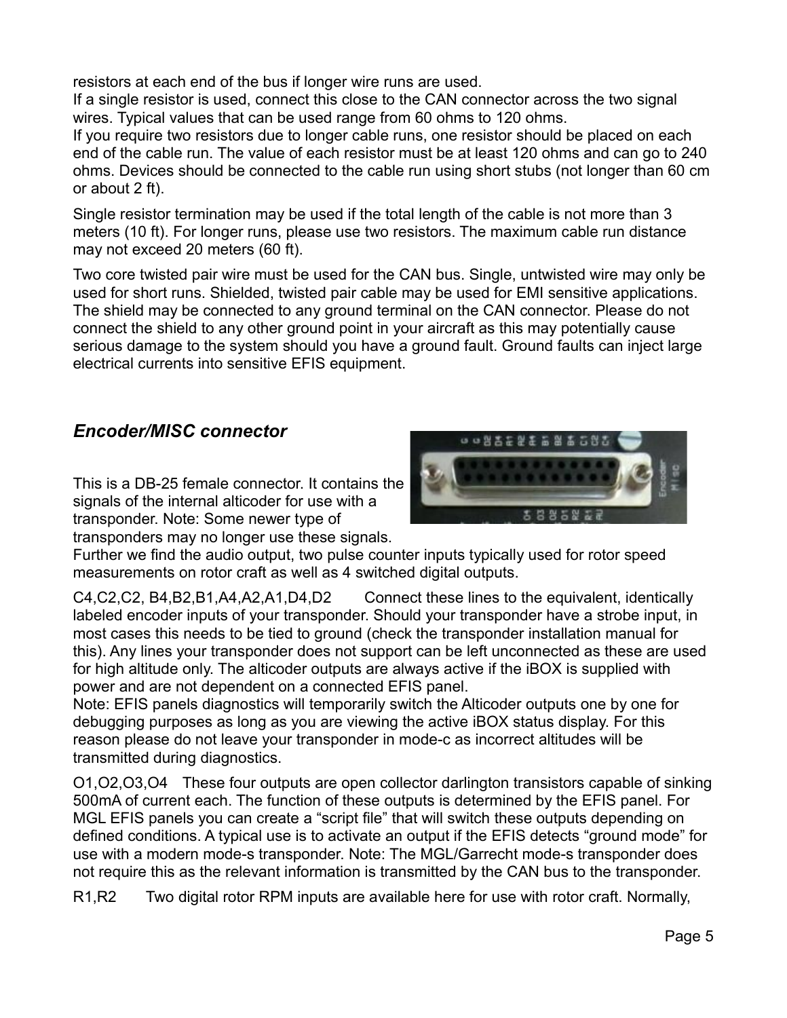resistors at each end of the bus if longer wire runs are used.

If a single resistor is used, connect this close to the CAN connector across the two signal wires. Typical values that can be used range from 60 ohms to 120 ohms.

If you require two resistors due to longer cable runs, one resistor should be placed on each end of the cable run. The value of each resistor must be at least 120 ohms and can go to 240 ohms. Devices should be connected to the cable run using short stubs (not longer than 60 cm or about 2 ft).

Single resistor termination may be used if the total length of the cable is not more than 3 meters (10 ft). For longer runs, please use two resistors. The maximum cable run distance may not exceed 20 meters (60 ft).

Two core twisted pair wire must be used for the CAN bus. Single, untwisted wire may only be used for short runs. Shielded, twisted pair cable may be used for EMI sensitive applications. The shield may be connected to any ground terminal on the CAN connector. Please do not connect the shield to any other ground point in your aircraft as this may potentially cause serious damage to the system should you have a ground fault. Ground faults can inject large electrical currents into sensitive EFIS equipment.

### *Encoder/MISC connector*

This is a DB-25 female connector. It contains the signals of the internal alticoder for use with a transponder. Note: Some newer type of transponders may no longer use these signals.



Further we find the audio output, two pulse counter inputs typically used for rotor speed measurements on rotor craft as well as 4 switched digital outputs.

C4,C2,C2, B4,B2,B1,A4,A2,A1,D4,D2 Connect these lines to the equivalent, identically labeled encoder inputs of your transponder. Should your transponder have a strobe input, in most cases this needs to be tied to ground (check the transponder installation manual for this). Any lines your transponder does not support can be left unconnected as these are used for high altitude only. The alticoder outputs are always active if the iBOX is supplied with power and are not dependent on a connected EFIS panel.

Note: EFIS panels diagnostics will temporarily switch the Alticoder outputs one by one for debugging purposes as long as you are viewing the active iBOX status display. For this reason please do not leave your transponder in mode-c as incorrect altitudes will be transmitted during diagnostics.

O1,O2,O3,O4 These four outputs are open collector darlington transistors capable of sinking 500mA of current each. The function of these outputs is determined by the EFIS panel. For MGL EFIS panels you can create a "script file" that will switch these outputs depending on defined conditions. A typical use is to activate an output if the EFIS detects "ground mode" for use with a modern mode-s transponder. Note: The MGL/Garrecht mode-s transponder does not require this as the relevant information is transmitted by the CAN bus to the transponder.

R1,R2 Two digital rotor RPM inputs are available here for use with rotor craft. Normally,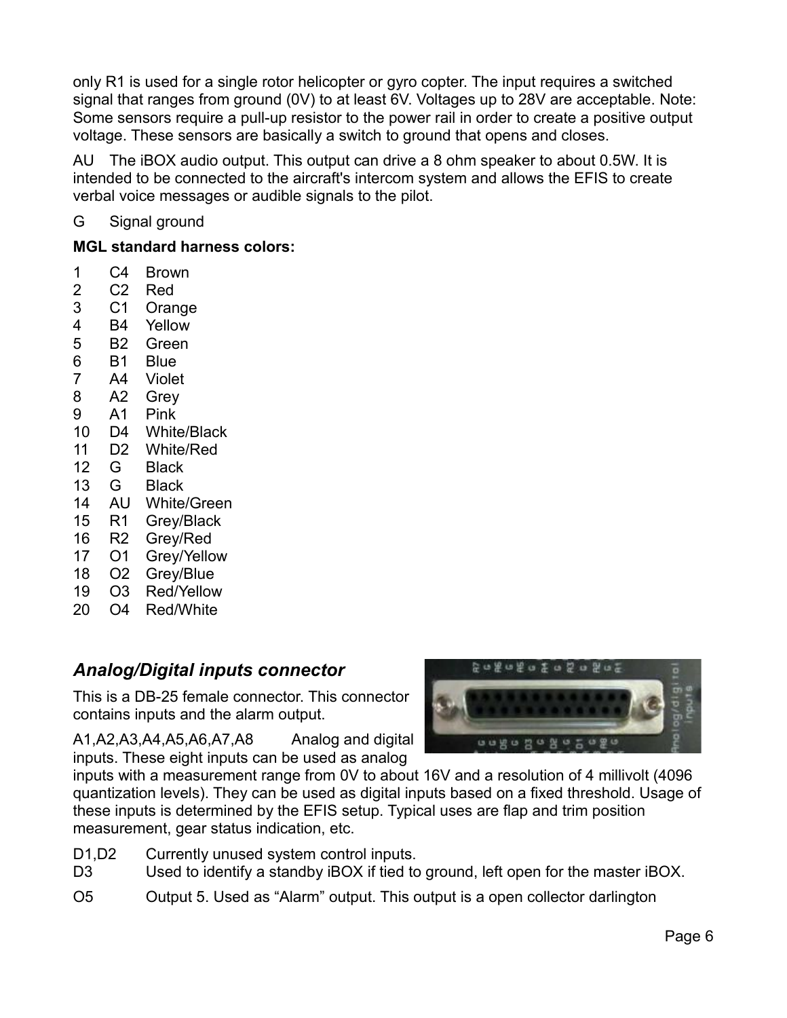only R1 is used for a single rotor helicopter or gyro copter. The input requires a switched signal that ranges from ground (0V) to at least 6V. Voltages up to 28V are acceptable. Note: Some sensors require a pull-up resistor to the power rail in order to create a positive output voltage. These sensors are basically a switch to ground that opens and closes.

AU The iBOX audio output. This output can drive a 8 ohm speaker to about 0.5W. It is intended to be connected to the aircraft's intercom system and allows the EFIS to create verbal voice messages or audible signals to the pilot.

G Signal ground

### **MGL standard harness colors:**

- 1 C4 Brown
- 2 C2 Red
- 3 C1 Orange
- 4 B4 Yellow
- 5 B2 Green
- 6 B1 Blue
- 7 A4 Violet
- 8 A2 Grey
- 9 A1 Pink
- 10 D4 White/Black
- 11 D2 White/Red
- 12 G Black
- 13 G Black
- 14 AU White/Green
- 15 R1 Grey/Black
- 16 R2 Grey/Red
- 17 O1 Grey/Yellow
- 18 O2 Grey/Blue
- 19 O3 Red/Yellow
- 20 O4 Red/White

## *Analog/Digital inputs connector*

This is a DB-25 female connector. This connector contains inputs and the alarm output.

A1,A2,A3,A4,A5,A6,A7,A8 Analog and digital inputs. These eight inputs can be used as analog



inputs with a measurement range from 0V to about 16V and a resolution of 4 millivolt (4096 quantization levels). They can be used as digital inputs based on a fixed threshold. Usage of these inputs is determined by the EFIS setup. Typical uses are flap and trim position measurement, gear status indication, etc.

- D1, D2 Currently unused system control inputs.
- D3 Used to identify a standby iBOX if tied to ground, left open for the master iBOX.
- O5 Output 5. Used as "Alarm" output. This output is a open collector darlington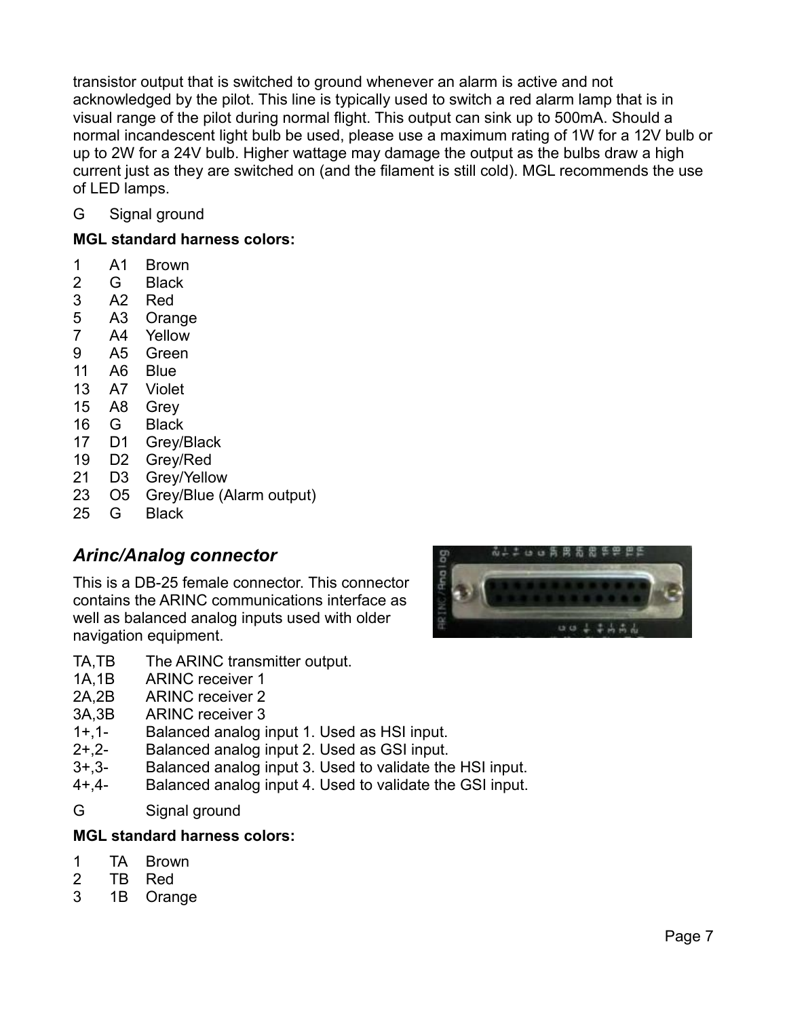transistor output that is switched to ground whenever an alarm is active and not acknowledged by the pilot. This line is typically used to switch a red alarm lamp that is in visual range of the pilot during normal flight. This output can sink up to 500mA. Should a normal incandescent light bulb be used, please use a maximum rating of 1W for a 12V bulb or up to 2W for a 24V bulb. Higher wattage may damage the output as the bulbs draw a high current just as they are switched on (and the filament is still cold). MGL recommends the use of LED lamps.

G Signal ground

### **MGL standard harness colors:**

- 1 A1 Brown
- 2 G Black
- 3 A2 Red
- 5 A3 Orange
- 7 A4 Yellow
- 9 A5 Green
- 11 A6 Blue
- 13 A7 Violet
- 15 A8 Grey
- 16 G Black
- 17 D1 Grey/Black
- 19 D2 Grey/Red
- 21 D3 Grey/Yellow
- 23 O5 Grey/Blue (Alarm output)
- 25 G Black

### *Arinc/Analog connector*

This is a DB-25 female connector. This connector contains the ARINC communications interface as well as balanced analog inputs used with older navigation equipment.



- TA, TB The ARINC transmitter output.
- 1A,1B ARINC receiver 1
- 2A,2B ARINC receiver 2
- 3A,3B ARINC receiver 3
- 1+,1- Balanced analog input 1. Used as HSI input.
- 2+,2- Balanced analog input 2. Used as GSI input.
- 3+,3- Balanced analog input 3. Used to validate the HSI input.
- 4+,4- Balanced analog input 4. Used to validate the GSI input.
- G Signal ground

### **MGL standard harness colors:**

- 1 TA Brown
- 2 TB Red
- 3 1B Orange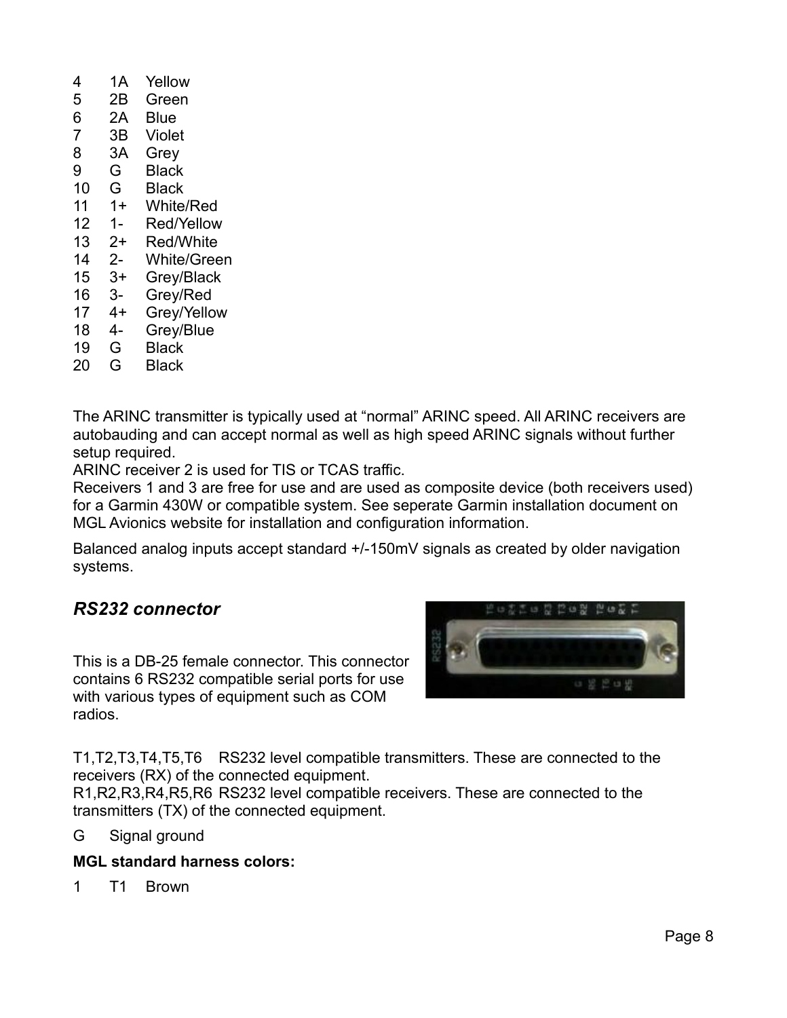- 4 1A Yellow 5 2B Green 6 2A Blue 7 3B Violet 8 3A Grey 9 G Black 10 G Black 11 1+ White/Red 12 1- Red/Yellow 13 2+ Red/White 14 2- White/Green 15 3+ Grey/Black 16 3- Grey/Red 17 4+ Grey/Yellow 18 4- Grey/Blue 19 G Black
- 20 G Black

The ARINC transmitter is typically used at "normal" ARINC speed. All ARINC receivers are autobauding and can accept normal as well as high speed ARINC signals without further setup required.

ARINC receiver 2 is used for TIS or TCAS traffic.

Receivers 1 and 3 are free for use and are used as composite device (both receivers used) for a Garmin 430W or compatible system. See seperate Garmin installation document on MGL Avionics website for installation and configuration information.

Balanced analog inputs accept standard +/-150mV signals as created by older navigation systems.

### *RS232 connector*

This is a DB-25 female connector. This connector contains 6 RS232 compatible serial ports for use with various types of equipment such as COM radios.



T1,T2,T3,T4,T5,T6 RS232 level compatible transmitters. These are connected to the receivers (RX) of the connected equipment.

R1,R2,R3,R4,R5,R6 RS232 level compatible receivers. These are connected to the transmitters (TX) of the connected equipment.

G Signal ground

### **MGL standard harness colors:**

1 T1 Brown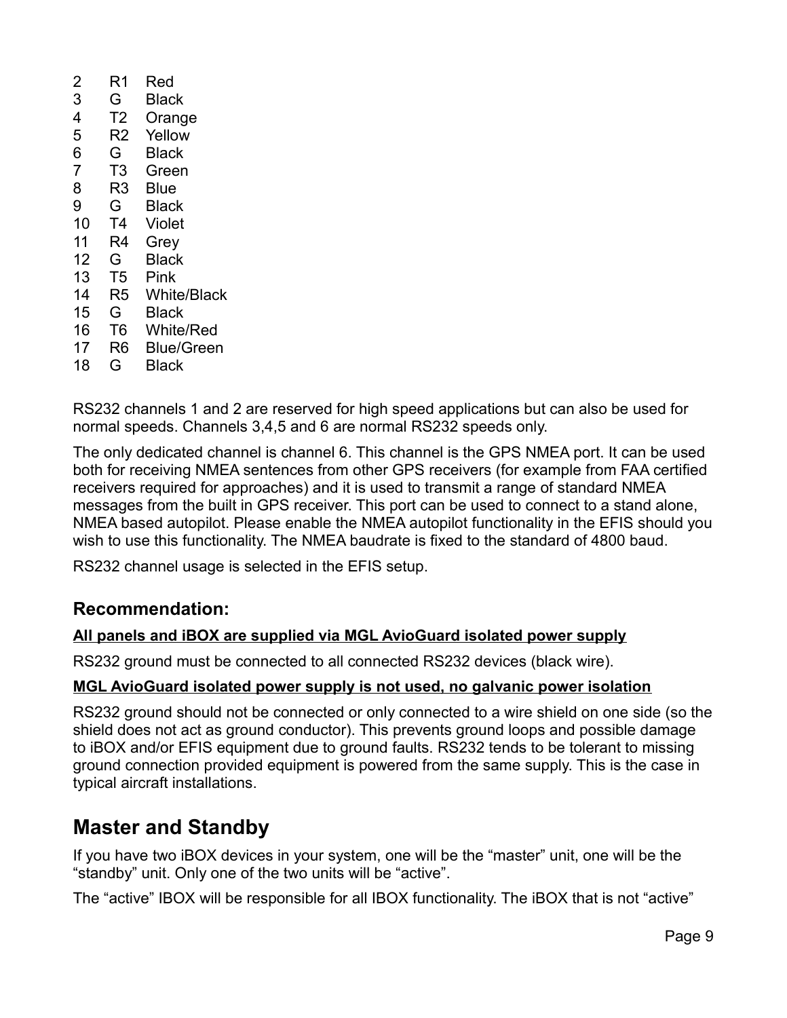| 2              | R1             | Red              |
|----------------|----------------|------------------|
| 3              | G              | Black            |
| 4              | T <sub>2</sub> | Orange           |
| 5              | R2             | Yellow           |
| 6              | G              | Black            |
| $\overline{7}$ | T3             | Green            |
| 8              | R3             | Blue             |
| 9              | G              | Black            |
| 10             | T4             | Violet           |
| 11             | R4             | Grey             |
| 12             | G              | Black            |
| 13             | T5             | Pink             |
| 14             | R5             | White/Black      |
| 15             | G              | Black            |
| 16             | T <sub>6</sub> | <b>White/Red</b> |
| 17             | R6             | Blue/Green       |
| 18             | G              | Black            |
|                |                |                  |

RS232 channels 1 and 2 are reserved for high speed applications but can also be used for normal speeds. Channels 3,4,5 and 6 are normal RS232 speeds only.

The only dedicated channel is channel 6. This channel is the GPS NMEA port. It can be used both for receiving NMEA sentences from other GPS receivers (for example from FAA certified receivers required for approaches) and it is used to transmit a range of standard NMEA messages from the built in GPS receiver. This port can be used to connect to a stand alone, NMEA based autopilot. Please enable the NMEA autopilot functionality in the EFIS should you wish to use this functionality. The NMEA baudrate is fixed to the standard of 4800 baud.

RS232 channel usage is selected in the EFIS setup.

### **Recommendation:**

### **All panels and iBOX are supplied via MGL AvioGuard isolated power supply**

RS232 ground must be connected to all connected RS232 devices (black wire).

#### **MGL AvioGuard isolated power supply is not used, no galvanic power isolation**

RS232 ground should not be connected or only connected to a wire shield on one side (so the shield does not act as ground conductor). This prevents ground loops and possible damage to iBOX and/or EFIS equipment due to ground faults. RS232 tends to be tolerant to missing ground connection provided equipment is powered from the same supply. This is the case in typical aircraft installations.

## **Master and Standby**

If you have two iBOX devices in your system, one will be the "master" unit, one will be the "standby" unit. Only one of the two units will be "active".

The "active" IBOX will be responsible for all IBOX functionality. The iBOX that is not "active"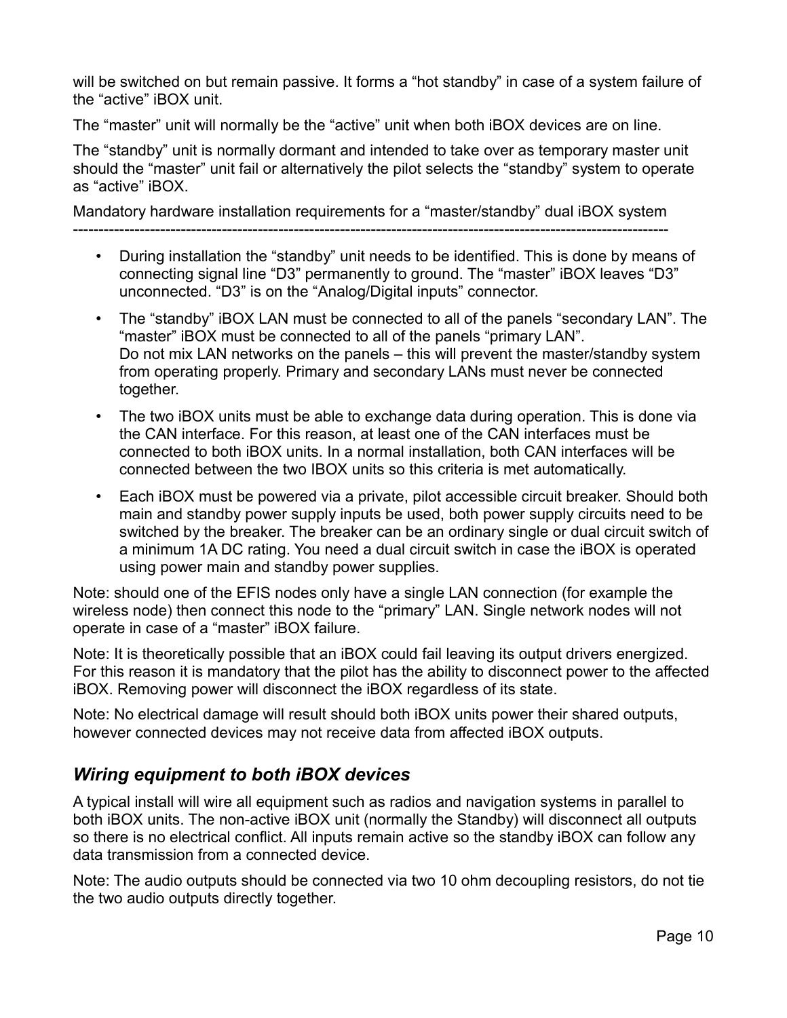will be switched on but remain passive. It forms a "hot standby" in case of a system failure of the "active" iBOX unit.

The "master" unit will normally be the "active" unit when both iBOX devices are on line.

The "standby" unit is normally dormant and intended to take over as temporary master unit should the "master" unit fail or alternatively the pilot selects the "standby" system to operate as "active" iBOX.

Mandatory hardware installation requirements for a "master/standby" dual iBOX system --------------------------------------------------------------------------------------------------------------------

- During installation the "standby" unit needs to be identified. This is done by means of connecting signal line "D3" permanently to ground. The "master" iBOX leaves "D3" unconnected. "D3" is on the "Analog/Digital inputs" connector.
- The "standby" iBOX LAN must be connected to all of the panels "secondary LAN". The "master" iBOX must be connected to all of the panels "primary LAN". Do not mix LAN networks on the panels – this will prevent the master/standby system from operating properly. Primary and secondary LANs must never be connected together.
- The two iBOX units must be able to exchange data during operation. This is done via the CAN interface. For this reason, at least one of the CAN interfaces must be connected to both iBOX units. In a normal installation, both CAN interfaces will be connected between the two IBOX units so this criteria is met automatically.
- Each iBOX must be powered via a private, pilot accessible circuit breaker. Should both main and standby power supply inputs be used, both power supply circuits need to be switched by the breaker. The breaker can be an ordinary single or dual circuit switch of a minimum 1A DC rating. You need a dual circuit switch in case the iBOX is operated using power main and standby power supplies.

Note: should one of the EFIS nodes only have a single LAN connection (for example the wireless node) then connect this node to the "primary" LAN. Single network nodes will not operate in case of a "master" iBOX failure.

Note: It is theoretically possible that an iBOX could fail leaving its output drivers energized. For this reason it is mandatory that the pilot has the ability to disconnect power to the affected iBOX. Removing power will disconnect the iBOX regardless of its state.

Note: No electrical damage will result should both iBOX units power their shared outputs, however connected devices may not receive data from affected iBOX outputs.

## *Wiring equipment to both iBOX devices*

A typical install will wire all equipment such as radios and navigation systems in parallel to both iBOX units. The non-active iBOX unit (normally the Standby) will disconnect all outputs so there is no electrical conflict. All inputs remain active so the standby iBOX can follow any data transmission from a connected device.

Note: The audio outputs should be connected via two 10 ohm decoupling resistors, do not tie the two audio outputs directly together.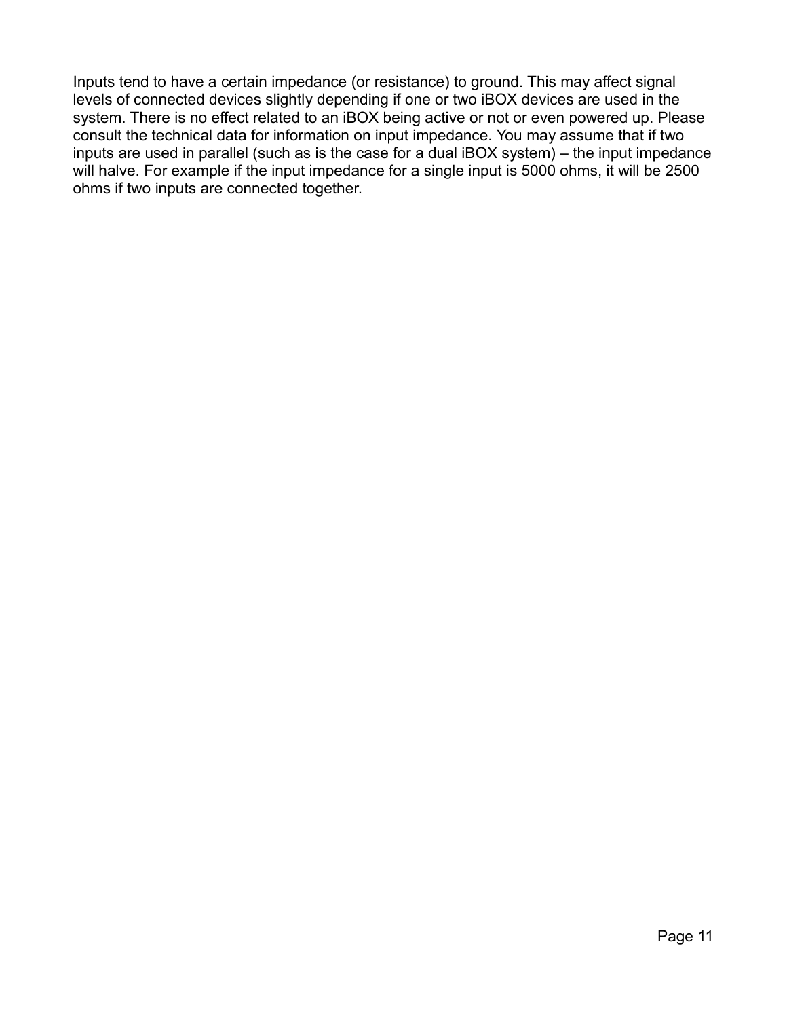Inputs tend to have a certain impedance (or resistance) to ground. This may affect signal levels of connected devices slightly depending if one or two iBOX devices are used in the system. There is no effect related to an iBOX being active or not or even powered up. Please consult the technical data for information on input impedance. You may assume that if two inputs are used in parallel (such as is the case for a dual iBOX system) – the input impedance will halve. For example if the input impedance for a single input is 5000 ohms, it will be 2500 ohms if two inputs are connected together.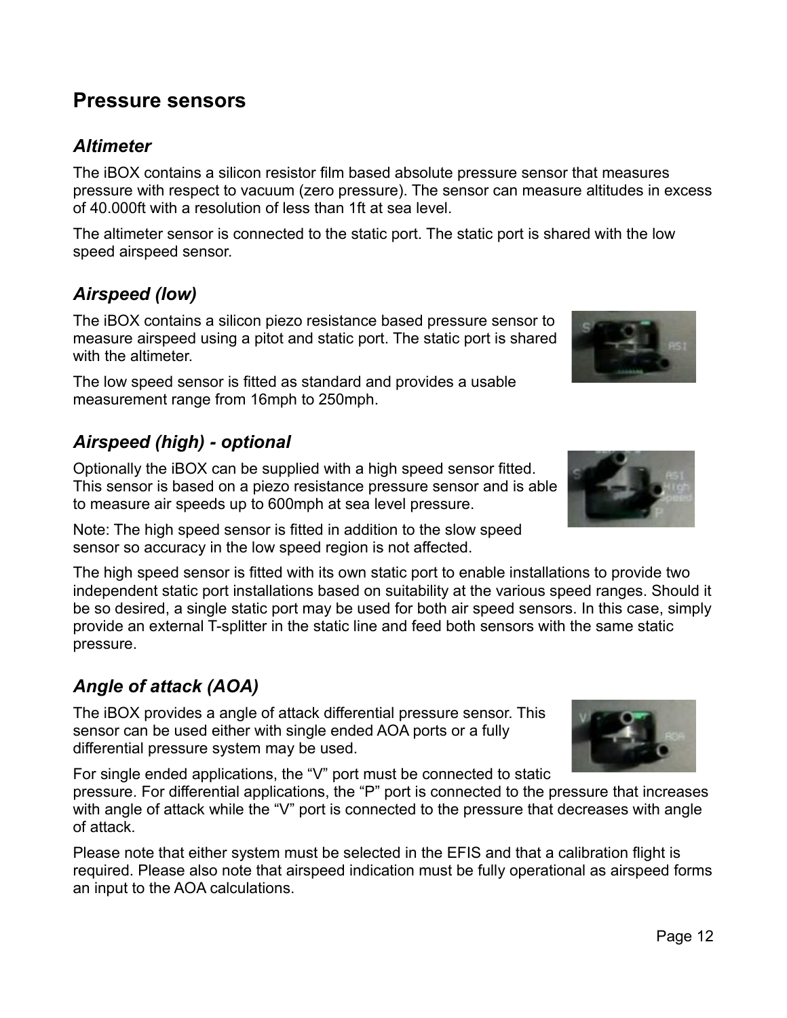## **Pressure sensors**

## *Altimeter*

The iBOX contains a silicon resistor film based absolute pressure sensor that measures pressure with respect to vacuum (zero pressure). The sensor can measure altitudes in excess of 40.000ft with a resolution of less than 1ft at sea level.

The altimeter sensor is connected to the static port. The static port is shared with the low speed airspeed sensor.

## *Airspeed (low)*

The iBOX contains a silicon piezo resistance based pressure sensor to measure airspeed using a pitot and static port. The static port is shared with the altimeter.

The low speed sensor is fitted as standard and provides a usable measurement range from 16mph to 250mph.

## *Airspeed (high) - optional*

Optionally the iBOX can be supplied with a high speed sensor fitted. This sensor is based on a piezo resistance pressure sensor and is able to measure air speeds up to 600mph at sea level pressure.

Note: The high speed sensor is fitted in addition to the slow speed sensor so accuracy in the low speed region is not affected.

The high speed sensor is fitted with its own static port to enable installations to provide two independent static port installations based on suitability at the various speed ranges. Should it be so desired, a single static port may be used for both air speed sensors. In this case, simply provide an external T-splitter in the static line and feed both sensors with the same static pressure.

## *Angle of attack (AOA)*

The iBOX provides a angle of attack differential pressure sensor. This sensor can be used either with single ended AOA ports or a fully differential pressure system may be used.

For single ended applications, the "V" port must be connected to static pressure. For differential applications, the "P" port is connected to the pressure that increases with angle of attack while the "V" port is connected to the pressure that decreases with angle of attack.

Please note that either system must be selected in the EFIS and that a calibration flight is required. Please also note that airspeed indication must be fully operational as airspeed forms an input to the AOA calculations.





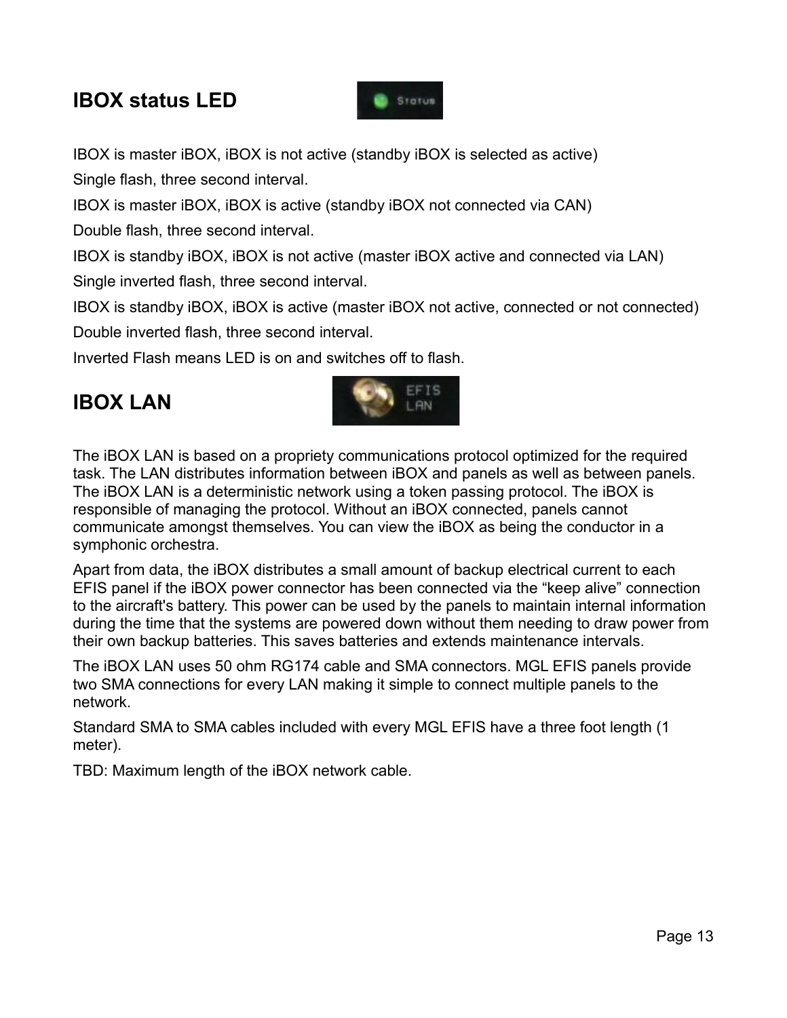# **IBOX status LED**



IBOX is master iBOX, iBOX is not active (standby iBOX is selected as active) Single flash, three second interval.

IBOX is master iBOX, iBOX is active (standby iBOX not connected via CAN)

Double flash, three second interval.

IBOX is standby iBOX, iBOX is not active (master iBOX active and connected via LAN)

Single inverted flash, three second interval.

IBOX is standby iBOX, iBOX is active (master iBOX not active, connected or not connected)

Double inverted flash, three second interval.

Inverted Flash means LED is on and switches off to flash.

# **IBOX LAN**



The iBOX LAN is based on a propriety communications protocol optimized for the required task. The LAN distributes information between iBOX and panels as well as between panels. The iBOX LAN is a deterministic network using a token passing protocol. The iBOX is responsible of managing the protocol. Without an iBOX connected, panels cannot communicate amongst themselves. You can view the iBOX as being the conductor in a symphonic orchestra.

Apart from data, the iBOX distributes a small amount of backup electrical current to each EFIS panel if the iBOX power connector has been connected via the "keep alive" connection to the aircraft's battery. This power can be used by the panels to maintain internal information during the time that the systems are powered down without them needing to draw power from their own backup batteries. This saves batteries and extends maintenance intervals.

The iBOX LAN uses 50 ohm RG174 cable and SMA connectors. MGL EFIS panels provide two SMA connections for every LAN making it simple to connect multiple panels to the network.

Standard SMA to SMA cables included with every MGL EFIS have a three foot length (1 meter).

TBD: Maximum length of the iBOX network cable.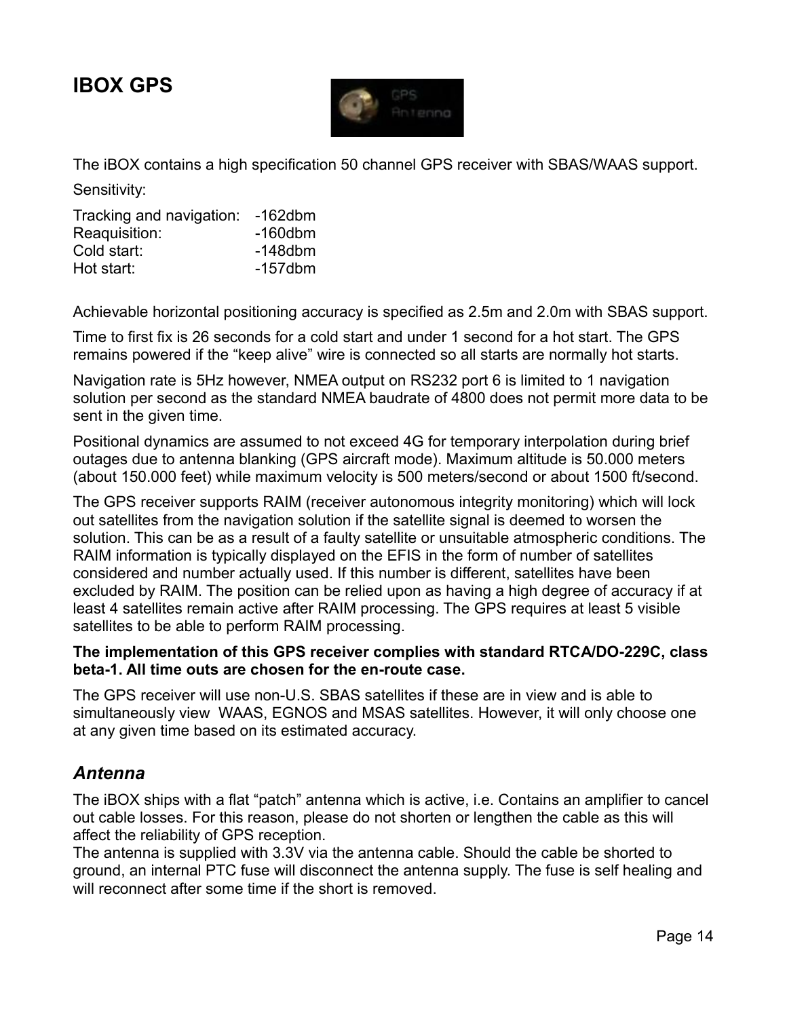# **IBOX GPS**



The iBOX contains a high specification 50 channel GPS receiver with SBAS/WAAS support.

Sensitivity:

| Tracking and navigation: | $-162$ dbm |
|--------------------------|------------|
| Reaquisition:            | $-160$ dbm |
| Cold start:              | $-148$ dbm |
| Hot start:               | $-157$ dbm |

Achievable horizontal positioning accuracy is specified as 2.5m and 2.0m with SBAS support.

Time to first fix is 26 seconds for a cold start and under 1 second for a hot start. The GPS remains powered if the "keep alive" wire is connected so all starts are normally hot starts.

Navigation rate is 5Hz however, NMEA output on RS232 port 6 is limited to 1 navigation solution per second as the standard NMEA baudrate of 4800 does not permit more data to be sent in the given time.

Positional dynamics are assumed to not exceed 4G for temporary interpolation during brief outages due to antenna blanking (GPS aircraft mode). Maximum altitude is 50.000 meters (about 150.000 feet) while maximum velocity is 500 meters/second or about 1500 ft/second.

The GPS receiver supports RAIM (receiver autonomous integrity monitoring) which will lock out satellites from the navigation solution if the satellite signal is deemed to worsen the solution. This can be as a result of a faulty satellite or unsuitable atmospheric conditions. The RAIM information is typically displayed on the EFIS in the form of number of satellites considered and number actually used. If this number is different, satellites have been excluded by RAIM. The position can be relied upon as having a high degree of accuracy if at least 4 satellites remain active after RAIM processing. The GPS requires at least 5 visible satellites to be able to perform RAIM processing.

#### **The implementation of this GPS receiver complies with standard RTCA/DO-229C, class beta-1. All time outs are chosen for the en-route case.**

The GPS receiver will use non-U.S. SBAS satellites if these are in view and is able to simultaneously view WAAS, EGNOS and MSAS satellites. However, it will only choose one at any given time based on its estimated accuracy.

### *Antenna*

The iBOX ships with a flat "patch" antenna which is active, i.e. Contains an amplifier to cancel out cable losses. For this reason, please do not shorten or lengthen the cable as this will affect the reliability of GPS reception.

The antenna is supplied with 3.3V via the antenna cable. Should the cable be shorted to ground, an internal PTC fuse will disconnect the antenna supply. The fuse is self healing and will reconnect after some time if the short is removed.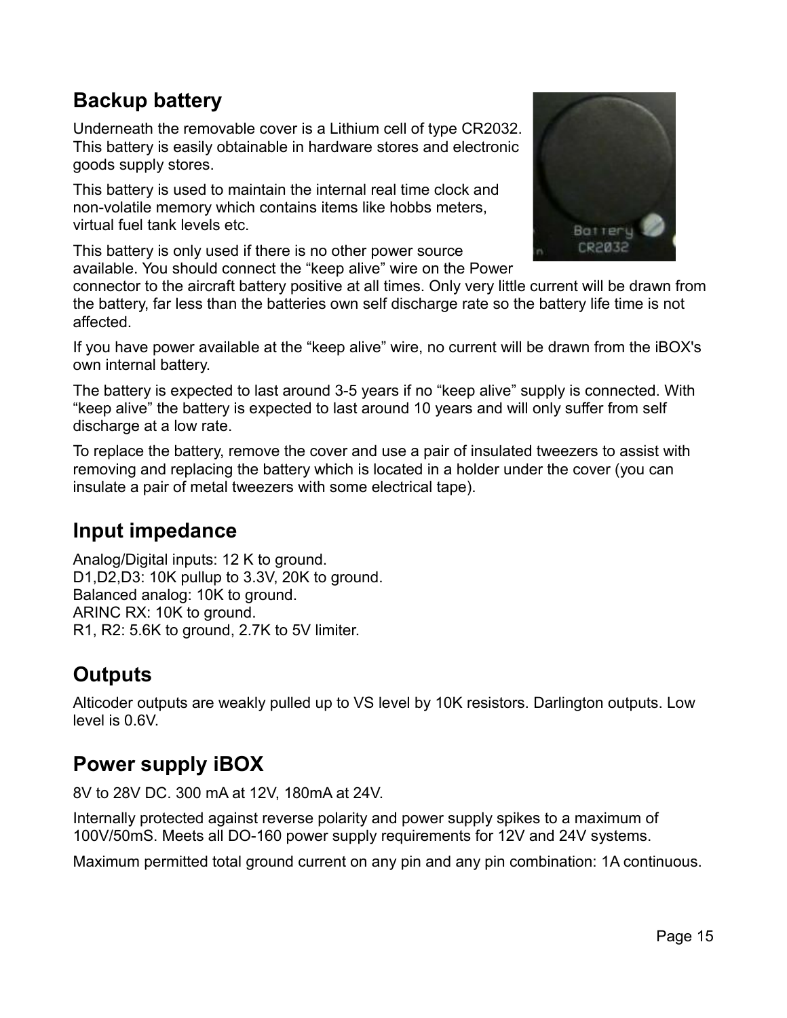# **Backup battery**

Underneath the removable cover is a Lithium cell of type CR2032. This battery is easily obtainable in hardware stores and electronic goods supply stores.

This battery is used to maintain the internal real time clock and non-volatile memory which contains items like hobbs meters, virtual fuel tank levels etc.

This battery is only used if there is no other power source available. You should connect the "keep alive" wire on the Power



connector to the aircraft battery positive at all times. Only very little current will be drawn from the battery, far less than the batteries own self discharge rate so the battery life time is not affected.

If you have power available at the "keep alive" wire, no current will be drawn from the iBOX's own internal battery.

The battery is expected to last around 3-5 years if no "keep alive" supply is connected. With "keep alive" the battery is expected to last around 10 years and will only suffer from self discharge at a low rate.

To replace the battery, remove the cover and use a pair of insulated tweezers to assist with removing and replacing the battery which is located in a holder under the cover (you can insulate a pair of metal tweezers with some electrical tape).

# **Input impedance**

Analog/Digital inputs: 12 K to ground. D1,D2,D3: 10K pullup to 3.3V, 20K to ground. Balanced analog: 10K to ground. ARINC RX: 10K to ground. R1, R2: 5.6K to ground, 2.7K to 5V limiter.

# **Outputs**

Alticoder outputs are weakly pulled up to VS level by 10K resistors. Darlington outputs. Low level is 0.6V.

# **Power supply iBOX**

8V to 28V DC. 300 mA at 12V, 180mA at 24V.

Internally protected against reverse polarity and power supply spikes to a maximum of 100V/50mS. Meets all DO-160 power supply requirements for 12V and 24V systems.

Maximum permitted total ground current on any pin and any pin combination: 1A continuous.